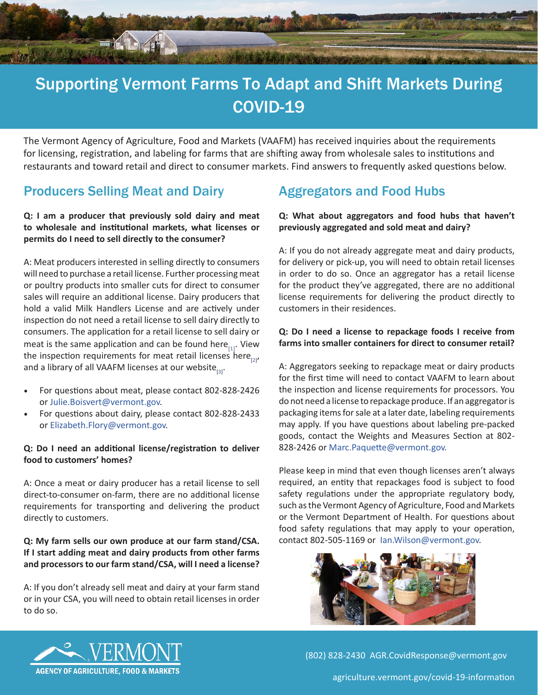

# Supporting Vermont Farms To Adapt and Shift Markets During COVID-19

The Vermont Agency of Agriculture, Food and Markets (VAAFM) has received inquiries about the requirements for licensing, registration, and labeling for farms that are shifting away from wholesale sales to institutions and restaurants and toward retail and direct to consumer markets. Find answers to frequently asked questions below.

## Producers Selling Meat and Dairy

### **Q: I am a producer that previously sold dairy and meat to wholesale and institutional markets, what licenses or permits do I need to sell directly to the consumer?**

A: Meat producers interested in selling directly to consumers will need to purchase a retail license. Further processing meat or poultry products into smaller cuts for direct to consumer sales will require an additional license. Dairy producers that hold a valid Milk Handlers License and are actively under inspection do not need a retail license to sell dairy directly to consumers. The application for a retail license to sell dairy or meat is the same application and can be found here $_{[1]}$  $_{[1]}$  $_{[1]}$ . View the inspection requirements for meat retail licenses here<sub>[[2\]](https://agriculture.vermont.gov/sites/agriculture/files/documents/Meat_Inspection/Retail/Retail%20regs%20full%20document%202019.pdf)</sub>, and a library of all VAAFM licenses at our website $_{[3]}$  $_{[3]}$  $_{[3]}$ .

- For questions about meat, please contact 802-828-2426 or [Julie.Boisvert@vermont.gov.](mailto:Julie.Boisvert%40vermont.gov?subject=)
- For questions about dairy, please contact 802-828-2433 or [Elizabeth.Flory@vermont.gov](mailto:Elizabeth.Flory%40vermont.gov?subject=).

### **Q: Do I need an additional license/registration to deliver food to customers' homes?**

A: Once a meat or dairy producer has a retail license to sell direct-to-consumer on-farm, there are no additional license requirements for transporting and delivering the product directly to customers.

### **Q: My farm sells our own produce at our farm stand/CSA. If I start adding meat and dairy products from other farms and processors to our farm stand/CSA, will I need a license?**

A: If you don't already sell meat and dairy at your farm stand or in your CSA, you will need to obtain retail licenses in order to do so.

# Aggregators and Food Hubs

### **Q: What about aggregators and food hubs that haven't previously aggregated and sold meat and dairy?**

A: If you do not already aggregate meat and dairy products, for delivery or pick-up, you will need to obtain retail licenses in order to do so. Once an aggregator has a retail license for the product they've aggregated, there are no additional license requirements for delivering the product directly to customers in their residences.

#### **Q: Do I need a license to repackage foods I receive from farms into smaller containers for direct to consumer retail?**

A: Aggregators seeking to repackage meat or dairy products for the first time will need to contact VAAFM to learn about the inspection and license requirements for processors. You do not need a license to repackage produce. If an aggregator is packaging items for sale at a later date, labeling requirements may apply. If you have questions about labeling pre-packed goods, contact the Weights and Measures Section at 802- 828-2426 or [Marc.Paquette@vermont.gov.](mailto:Marc.Paquette%40vermont.gov.%20?subject=)

Please keep in mind that even though licenses aren't always required, an entity that repackages food is subject to food safety regulations under the appropriate regulatory body, such as the Vermont Agency of Agriculture, Food and Markets or the Vermont Department of Health. For questions about food safety regulations that may apply to your operation, contact 802-505-1169 or [Ian.Wilson@vermont.gov](mailto:Ian.Wilson%40vermont.gov?subject=).





(802) 828-2430 [AGR.CovidResponse@vermont.gov](mailto:AGR.FSMA@vermont.gov)